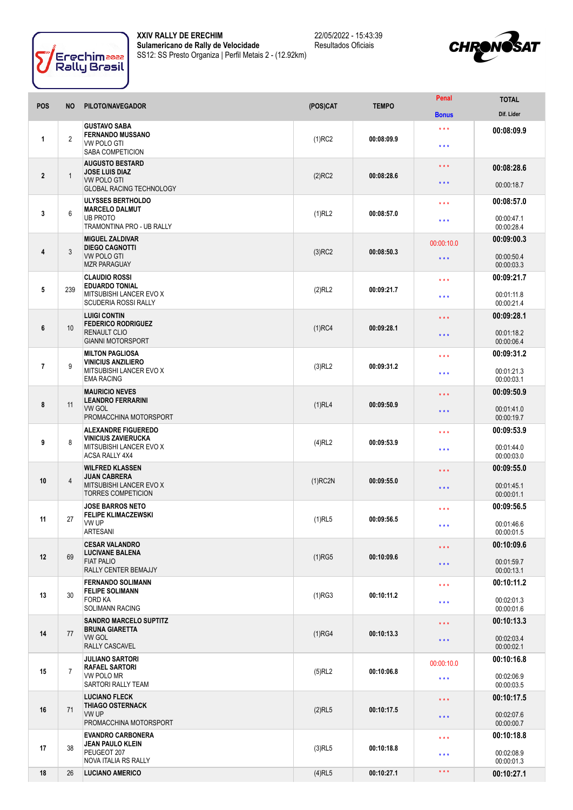



| <b>POS</b>     | <b>NO</b>      | PILOTO/NAVEGADOR                                                                                                  | (POS)CAT   | <b>TEMPO</b> | Penal                             | <b>TOTAL</b>                                         |
|----------------|----------------|-------------------------------------------------------------------------------------------------------------------|------------|--------------|-----------------------------------|------------------------------------------------------|
|                |                |                                                                                                                   |            |              | <b>Bonus</b>                      | Dif. Lider                                           |
| 1              | $\overline{2}$ | <b>GUSTAVO SABA</b><br><b>FERNANDO MUSSANO</b><br><b>VW POLO GTI</b><br><b>SABA COMPETICION</b>                   | $(1)$ RC2  | 00:08:09.9   | * * *<br>$***$                    | 00:08:09.9                                           |
| $\overline{2}$ | $\overline{1}$ | <b>AUGUSTO BESTARD</b><br><b>JOSE LUIS DIAZ</b><br><b>VW POLO GTI</b><br><b>GLOBAL RACING TECHNOLOGY</b>          | $(2)$ RC2  | 00:08:28.6   | $***$<br>$***$                    | 00:08:28.6<br>00:00:18.7                             |
| 3              | 6              | <b>ULYSSES BERTHOLDO</b><br><b>MARCELO DALMUT</b><br><b>UB PROTO</b><br>TRAMONTINA PRO - UB RALLY                 | (1)RL2     | 00:08:57.0   | $\star \star \star$<br>$***$      | 00:08:57.0<br>00:00:47.1<br>00:00:28.4               |
| 4              | $\mathbf{3}$   | <b>MIGUEL ZALDIVAR</b><br><b>DIEGO CAGNOTTI</b><br><b>VW POLO GTI</b><br><b>MZR PARAGUAY</b>                      | $(3)$ RC2  | 00:08:50.3   | 00:00:10.0<br>$\star \star \star$ | 00:09:00.3<br>00:00:50.4<br>00:00:03.3               |
| 5              | 239            | <b>CLAUDIO ROSSI</b><br><b>EDUARDO TONIAL</b><br>MITSUBISHI LANCER EVO X<br><b>SCUDERIA ROSSI RALLY</b>           | (2)RL2     | 00:09:21.7   | $\star \star \star$<br>* * *      | 00:09:21.7<br>00:01:11.8<br>00:00:21.4               |
| 6              | 10             | <b>LUIGI CONTIN</b><br><b>FEDERICO RODRIGUEZ</b><br>RENAULT CLIO<br><b>GIANNI MOTORSPORT</b>                      | $(1)$ RC4  | 00:09:28.1   | $***$<br>$***$                    | 00:09:28.1<br>00:01:18.2<br>00:00:06.4               |
| $\overline{7}$ | 9              | <b>MILTON PAGLIOSA</b><br><b>VINICIUS ANZILIERO</b><br>MITSUBISHI LANCER EVO X                                    | $(3)$ RL2  | 00:09:31.2   | $***$<br>* * *                    | 00:09:31.2<br>00:01:21.3                             |
| 8              | 11             | <b>EMA RACING</b><br><b>MAURICIO NEVES</b><br><b>LEANDRO FERRARINI</b><br><b>VW GOL</b><br>PROMACCHINA MOTORSPORT | $(1)$ RL4  | 00:09:50.9   | $\star \star \star$<br>$***$      | 00:00:03.1<br>00:09:50.9<br>00:01:41.0<br>00:00:19.7 |
| 9              | 8              | <b>ALEXANDRE FIGUEREDO</b><br><b>VINICIUS ZAVIERUCKA</b><br>MITSUBISHI LANCER EVO X<br><b>ACSA RALLY 4X4</b>      | $(4)$ RL2  | 00:09:53.9   | * * *<br>* * *                    | 00:09:53.9<br>00:01:44.0<br>00:00:03.0               |
| 10             | $\overline{4}$ | <b>WILFRED KLASSEN</b><br><b>JUAN CABRERA</b><br>MITSUBISHI LANCER EVO X<br><b>TORRES COMPETICION</b>             | $(1)$ RC2N | 00:09:55.0   | $\star \star \star$<br>$***$      | 00:09:55.0<br>00:01:45.1<br>00:00:01.1               |
| 11             | 27             | <b>JOSE BARROS NETO</b><br><b>FELIPE KLIMACZEWSKI</b><br>VW UP<br>ARTESANI                                        | $(1)$ RL5  | 00:09:56.5   | * * *<br>***                      | 00:09:56.5<br>00:01:46.6<br>00:00:01.5               |
| 12             | 69             | <b>CESAR VALANDRO</b><br><b>LUCIVANE BALENA</b><br><b>FIAT PALIO</b><br>RALLY CENTER BEMAJJY                      | (1)RG5     | 00:10:09.6   | $\star \star \star$<br>$***$      | 00:10:09.6<br>00:01:59.7<br>00:00:13.1               |
| 13             | 30             | <b>FERNANDO SOLIMANN</b><br><b>FELIPE SOLIMANN</b><br><b>FORD KA</b><br><b>SOLIMANN RACING</b>                    | (1)RG3     | 00:10:11.2   | * * *<br>$***$                    | 00:10:11.2<br>00:02:01.3<br>00:00:01.6               |
| 14             | 77             | <b>SANDRO MARCELO SUPTITZ</b><br><b>BRUNA GIARETTA</b><br><b>VW GOL</b><br>RALLY CASCAVEL                         | (1)RG4     | 00:10:13.3   | $\star \star \star$<br>$***$      | 00:10:13.3<br>00:02:03.4<br>00:00:02.1               |
| 15             | $\overline{7}$ | <b>JULIANO SARTORI</b><br>RAFAEL SARTORI<br>VW POLO MR<br>SARTORI RALLY TEAM                                      | $(5)$ RL2  | 00:10:06.8   | 00:00:10.0<br>$***$               | 00:10:16.8<br>00:02:06.9<br>00:00:03.5               |
| 16             | 71             | <b>LUCIANO FLECK</b><br><b>THIAGO OSTERNACK</b><br>VW UP<br>PROMACCHINA MOTORSPORT                                | $(2)$ RL5  | 00:10:17.5   | $\star \star \star$<br>$***$      | 00:10:17.5<br>00:02:07.6<br>00:00:00.7               |
| 17             | 38             | <b>EVANDRO CARBONERA</b><br><b>JEAN PAULO KLEIN</b><br>PEUGEOT 207<br>NOVA ITALIA RS RALLY                        | $(3)$ RL5  | 00:10:18.8   | $\star \star \star$<br>* * *      | 00:10:18.8<br>00:02:08.9<br>00:00:01.3               |
| 18             | 26             | <b>LUCIANO AMERICO</b>                                                                                            | $(4)$ RL5  | 00:10:27.1   | $\star\star\star$                 | 00:10:27.1                                           |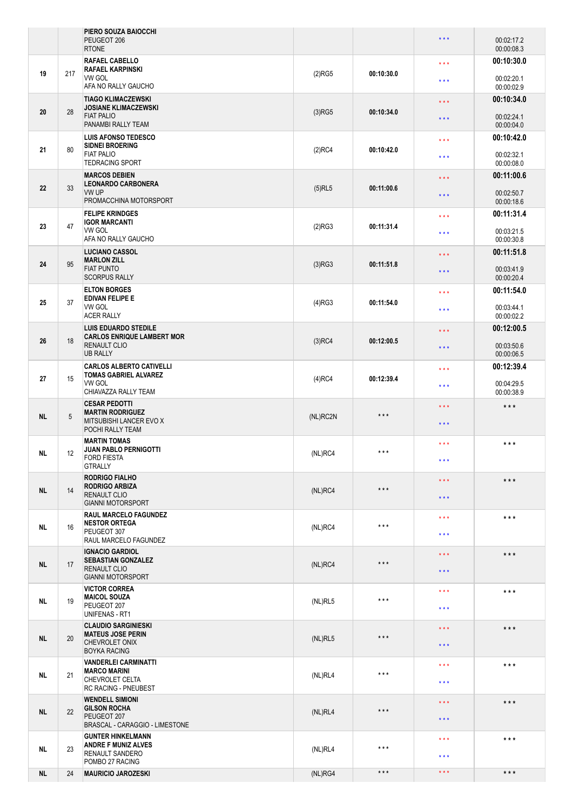|           |     | PIERO SOUZA BAIOCCHI<br>PEUGEOT 206<br><b>RTONE</b>                                                        |           |                   | $\star \star \star$     | 00:02:17.2<br>00:00:08.3 |
|-----------|-----|------------------------------------------------------------------------------------------------------------|-----------|-------------------|-------------------------|--------------------------|
|           |     | RAFAEL CABELLO                                                                                             |           |                   | $\star \star \star$     | 00:10:30.0               |
| 19        | 217 | <b>RAFAEL KARPINSKI</b><br><b>VW GOL</b><br>AFA NO RALLY GAUCHO                                            | (2)RG5    | 00:10:30.0        | $\star \star \star$     | 00:02:20.1<br>00:00:02.9 |
|           |     | <b>TIAGO KLIMACZEWSKI</b>                                                                                  |           |                   | $\star \star \star$     | 00:10:34.0               |
| 20        | 28  | <b>JOSIANE KLIMACZEWSKI</b><br><b>FIAT PALIO</b><br>PANAMBI RALLY TEAM                                     | $(3)$ RG5 | 00:10:34.0        | $\star \star \star$     | 00:02:24.1<br>00:00:04.0 |
|           |     | <b>LUIS AFONSO TEDESCO</b><br><b>SIDNEI BROERING</b>                                                       |           |                   | $\star \star \star$     | 00:10:42.0               |
| 21        | 80  | <b>FIAT PALIO</b><br><b>TEDRACING SPORT</b>                                                                | $(2)$ RC4 | 00:10:42.0        | $***$                   | 00:02:32.1<br>00:00:08.0 |
|           |     | <b>MARCOS DEBIEN</b><br><b>LEONARDO CARBONERA</b>                                                          |           |                   | $\star \star \star$     | 00:11:00.6               |
| 22        | 33  | VW UP<br>PROMACCHINA MOTORSPORT                                                                            | $(5)$ RL5 | 00:11:00.6        | $\star \star \star$     | 00:02:50.7<br>00:00:18.6 |
|           |     | <b>FELIPE KRINDGES</b><br><b>IGOR MARCANTI</b>                                                             |           |                   | $\star \star \star$     | 00:11:31.4               |
| 23        | 47  | VW GOL<br>AFA NO RALLY GAUCHO                                                                              | (2)RG3    | 00:11:31.4        | $***$                   | 00:03:21.5<br>00:00:30.8 |
|           |     | <b>LUCIANO CASSOL</b><br><b>MARLON ZILL</b>                                                                |           |                   | $\star$ $\star$ $\star$ | 00:11:51.8               |
| 24        | 95  | <b>FIAT PUNTO</b><br><b>SCORPUS RALLY</b>                                                                  | (3)RG3    | 00:11:51.8        | $\star \star \star$     | 00:03:41.9<br>00:00:20.4 |
|           |     | <b>ELTON BORGES</b><br><b>EDIVAN FELIPE E</b>                                                              |           |                   | * * *                   | 00:11:54.0               |
| 25        | 37  | VW GOL<br><b>ACER RALLY</b>                                                                                | (4)RG3    | 00:11:54.0        | $\star \star \star$     | 00:03:44.1<br>00:00:02.2 |
|           |     | <b>LUIS EDUARDO STEDILE</b><br><b>CARLOS ENRIQUE LAMBERT MOR</b><br><b>RENAULT CLIO</b><br><b>UB RALLY</b> | $(3)$ RC4 |                   | $\star \star \star$     | 00:12:00.5               |
| 26        | 18  |                                                                                                            |           | 00:12:00.5        | $\star \star \star$     | 00:03:50.6<br>00:00:06.5 |
|           |     | <b>CARLOS ALBERTO CATIVELLI</b><br><b>TOMAS GABRIEL ALVAREZ</b><br>VW GOL<br>CHIAVAZZA RALLY TEAM          |           | 00:12:39.4        | $\star \star \star$     | 00:12:39.4               |
| 27        | 15  |                                                                                                            | $(4)$ RC4 |                   | $\star \star \star$     | 00:04:29.5<br>00:00:38.9 |
|           |     | <b>CESAR PEDOTTI</b><br><b>MARTIN RODRIGUEZ</b>                                                            |           |                   | $\star \star \star$     | $***$                    |
| <b>NL</b> | 5   | MITSUBISHI LANCER EVO X<br>POCHI RALLY TEAM                                                                | (NL)RC2N  | $\star\star\star$ | $\star \star \star$     |                          |
| NL.       | 12  | <b>MARTIN TOMAS</b><br><b>JUAN PABLO PERNIGOTTI</b>                                                        | (NL)RC4   | $***$             | $\star \star \star$     | $***$                    |
|           |     | FORD FIESTA<br><b>GTRALLY</b>                                                                              |           |                   | * * *                   |                          |
|           | 14  | <b>RODRIGO FIALHO</b><br><b>RODRIGO ARBIZA</b><br><b>RENAULT CLIO</b>                                      | (NL)RC4   | $***$             | $***$                   | $***$                    |
| NL.       |     |                                                                                                            |           |                   | $***$                   |                          |
|           |     | <b>GIANNI MOTORSPORT</b><br><b>RAUL MARCELO FAGUNDEZ</b>                                                   |           |                   |                         |                          |
| <b>NL</b> | 16  | <b>NESTOR ORTEGA</b>                                                                                       | (NL)RC4   | $\star\star\star$ | $\star \star \star$     | ***                      |
|           |     | PEUGEOT 307<br>RAUL MARCELO FAGUNDEZ                                                                       |           |                   | $***$                   |                          |
|           | 17  | <b>IGNACIO GARDIOL</b><br><b>SEBASTIAN GONZALEZ</b><br><b>RENAULT CLIO</b><br><b>GIANNI MOTORSPORT</b>     | (NL)RC4   | $\star\star\star$ | $\star\star\star$       | $***$                    |
| NL.       |     |                                                                                                            |           |                   | $\star \star \star$     |                          |
|           |     | <b>VICTOR CORREA</b>                                                                                       |           |                   | $\star \star \star$     | $***$                    |
| NL.       | 19  | <b>MAICOL SOUZA</b><br>PEUGEOT 207                                                                         | (NL)RL5   | $\star\star\star$ |                         |                          |
|           |     | UNIFENAS - RT1                                                                                             |           |                   | $\star \star \star$     |                          |
|           | 20  | <b>CLAUDIO SARGINIESKI</b><br><b>MATEUS JOSE PERIN</b><br>CHEVROLET ONIX<br><b>BOYKA RACING</b>            | (NL)RL5   | $***$             | $\star \star \star$     | $***$                    |
| <b>NL</b> |     |                                                                                                            |           |                   | $\star \star \star$     |                          |
|           |     | <b>VANDERLEI CARMINATTI</b>                                                                                |           |                   | $\star \star \star$     | $***$                    |
| NL        | 21  | <b>MARCO MARINI</b><br>CHEVROLET CELTA<br>RC RACING - PNEUBEST                                             | (NL)RL4   | $***$             | $\star \star \star$     |                          |
|           |     | <b>WENDELL SIMIONI</b>                                                                                     |           |                   | $***$                   | $***$                    |
| <b>NL</b> | 22  | <b>GILSON ROCHA</b><br>PEUGEOT 207<br>BRASCAL - CARAGGIO - LIMESTONE                                       | (NL)RL4   | $\star\star\star$ | $***$                   |                          |
|           | 23  | <b>GUNTER HINKELMANN</b>                                                                                   |           |                   | $***$                   | ***                      |
| NL        |     | <b>ANDRE F MUNIZ ALVES</b><br>RENAULT SANDERO                                                              | (NL)RL4   | $***$             | * * *                   |                          |
| <b>NL</b> | 24  | POMBO 27 RACING<br><b>MAURICIO JAROZESKI</b>                                                               | (NL)RG4   | $\star\star\star$ | $\star$ $\star$ $\star$ | $***$                    |
|           |     |                                                                                                            |           |                   |                         |                          |